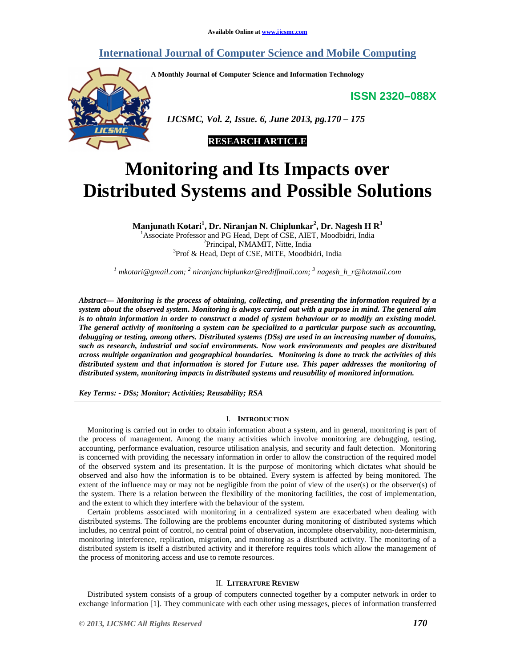# **International Journal of Computer Science and Mobile Computing**

**A Monthly Journal of Computer Science and Information Technology** 

**ISSN 2320–088X**



 *IJCSMC, Vol. 2, Issue. 6, June 2013, pg.170 – 175* 



# **Monitoring and Its Impacts over Distributed Systems and Possible Solutions**

**Manjunath Kotari<sup>1</sup> , Dr. Niranjan N. Chiplunkar<sup>2</sup> , Dr. Nagesh H R<sup>3</sup>** <sup>1</sup>Associate Professor and PG Head, Dept of CSE, AIET, Moodbidri, India <sup>2</sup>Principal, NMAMIT, Nitte, India <sup>3</sup>Prof & Head, Dept of CSE, MITE, Moodbidri, India

*1 mkotari@gmail.com; <sup>2</sup> niranjanchiplunkar@rediffmail.com; <sup>3</sup> nagesh\_h\_r@hotmail.com* 

*Abstract— Monitoring is the process of obtaining, collecting, and presenting the information required by a system about the observed system. Monitoring is always carried out with a purpose in mind. The general aim is to obtain information in order to construct a model of system behaviour or to modify an existing model. The general activity of monitoring a system can be specialized to a particular purpose such as accounting, debugging or testing, among others. Distributed systems (DSs) are used in an increasing number of domains, such as research, industrial and social environments. Now work environments and peoples are distributed across multiple organization and geographical boundaries. Monitoring is done to track the activities of this distributed system and that information is stored for Future use. This paper addresses the monitoring of distributed system, monitoring impacts in distributed systems and reusability of monitored information.* 

*Key Terms: - DSs; Monitor; Activities; Reusability; RSA* 

#### I. **INTRODUCTION**

Monitoring is carried out in order to obtain information about a system, and in general, monitoring is part of the process of management. Among the many activities which involve monitoring are debugging, testing, accounting, performance evaluation, resource utilisation analysis, and security and fault detection. Monitoring is concerned with providing the necessary information in order to allow the construction of the required model of the observed system and its presentation. It is the purpose of monitoring which dictates what should be observed and also how the information is to be obtained. Every system is affected by being monitored. The extent of the influence may or may not be negligible from the point of view of the user(s) or the observer(s) of the system. There is a relation between the flexibility of the monitoring facilities, the cost of implementation, and the extent to which they interfere with the behaviour of the system.

Certain problems associated with monitoring in a centralized system are exacerbated when dealing with distributed systems. The following are the problems encounter during monitoring of distributed systems which includes, no central point of control, no central point of observation, incomplete observability, non-determinism, monitoring interference, replication, migration, and monitoring as a distributed activity. The monitoring of a distributed system is itself a distributed activity and it therefore requires tools which allow the management of the process of monitoring access and use to remote resources.

#### II. **LITERATURE REVIEW**

Distributed system consists of a group of computers connected together by a computer network in order to exchange information [1]. They communicate with each other using messages, pieces of information transferred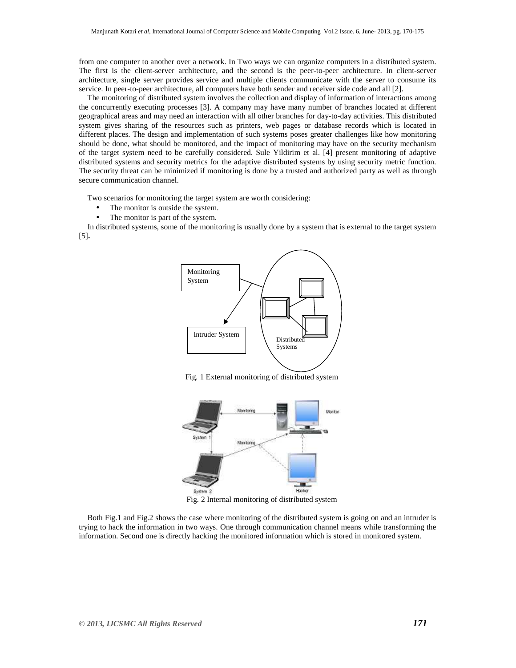from one computer to another over a network. In Two ways we can organize computers in a distributed system. The first is the client-server architecture, and the second is the peer-to-peer architecture. In client-server architecture, single server provides service and multiple clients communicate with the server to consume its service. In peer-to-peer architecture, all computers have both sender and receiver side code and all [2].

The monitoring of distributed system involves the collection and display of information of interactions among the concurrently executing processes [3]. A company may have many number of branches located at different geographical areas and may need an interaction with all other branches for day-to-day activities. This distributed system gives sharing of the resources such as printers, web pages or database records which is located in different places. The design and implementation of such systems poses greater challenges like how monitoring should be done, what should be monitored, and the impact of monitoring may have on the security mechanism of the target system need to be carefully considered. Sule Yildirim et al. [4] present monitoring of adaptive distributed systems and security metrics for the adaptive distributed systems by using security metric function. The security threat can be minimized if monitoring is done by a trusted and authorized party as well as through secure communication channel.

Two scenarios for monitoring the target system are worth considering:

- The monitor is outside the system.
- The monitor is part of the system.

In distributed systems, some of the monitoring is usually done by a system that is external to the target system [5]**.** 



Fig. 1 External monitoring of distributed system



Fig. 2 Internal monitoring of distributed system

Both Fig.1 and Fig.2 shows the case where monitoring of the distributed system is going on and an intruder is trying to hack the information in two ways. One through communication channel means while transforming the information. Second one is directly hacking the monitored information which is stored in monitored system.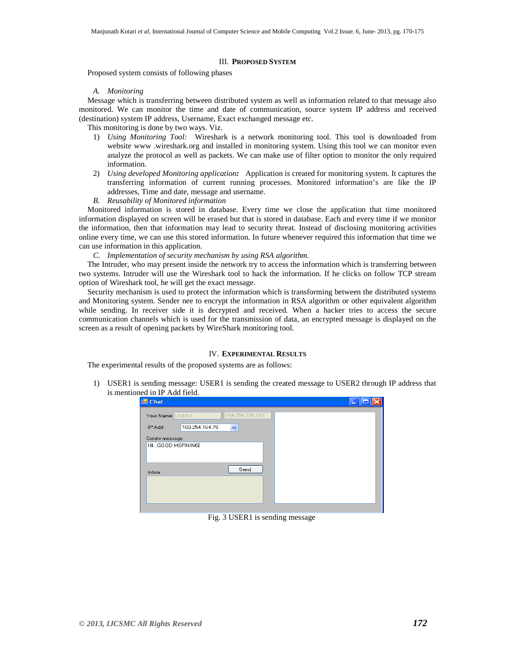#### III. **PROPOSED SYSTEM**

Proposed system consists of following phases

*A. Monitoring* 

Message which is transferring between distributed system as well as information related to that message also monitored. We can monitor the time and date of communication, source system IP address and received (destination) system IP address, Username, Exact exchanged message etc.

This monitoring is done by two ways. Viz.

- 1) *Using Monitoring Tool:* Wireshark is a network monitoring tool. This tool is downloaded from website www .wireshark.org and installed in monitoring system. Using this tool we can monitor even analyze the protocol as well as packets. We can make use of filter option to monitor the only required information.
- 2) *Using developed Monitoring application:* Application is created for monitoring system. It captures the transferring information of current running processes. Monitored information's are like the IP addresses, Time and date, message and username.
- *B. Reusability of Monitored information*

Monitored information is stored in database. Every time we close the application that time monitored information displayed on screen will be erased but that is stored in database. Each and every time if we monitor the information, then that information may lead to security threat. Instead of disclosing monitoring activities online every time, we can use this stored information. In future whenever required this information that time we can use information in this application.

*C. Implementation of security mechanism by using RSA algorithm.* 

The Intruder, who may present inside the network try to access the information which is transferring between two systems. Intruder will use the Wireshark tool to hack the information. If he clicks on follow TCP stream option of Wireshark tool, he will get the exact message.

Security mechanism is used to protect the information which is transforming between the distributed systems and Monitoring system. Sender nee to encrypt the information in RSA algorithm or other equivalent algorithm while sending. In receiver side it is decrypted and received. When a hacker tries to access the secure communication channels which is used for the transmission of data, an encrypted message is displayed on the screen as a result of opening packets by WireShark monitoring tool.

#### IV. **EXPERIMENTAL RESULTS**

The experimental results of the proposed systems are as follows:

1) USER1 is sending message: USER1 is sending the created message to USER2 through IP address that is mentioned in IP Add field.

| <b>H</b> Chat                       |  |
|-------------------------------------|--|
| 169.254.226.242<br>Your Name: USER1 |  |
| 169.254.164.78<br>IP Add:<br>×      |  |
| Create message                      |  |
| HIGOOD MORNING                      |  |
| Send<br>Inbox                       |  |
|                                     |  |
|                                     |  |
|                                     |  |

Fig. 3 USER1 is sending message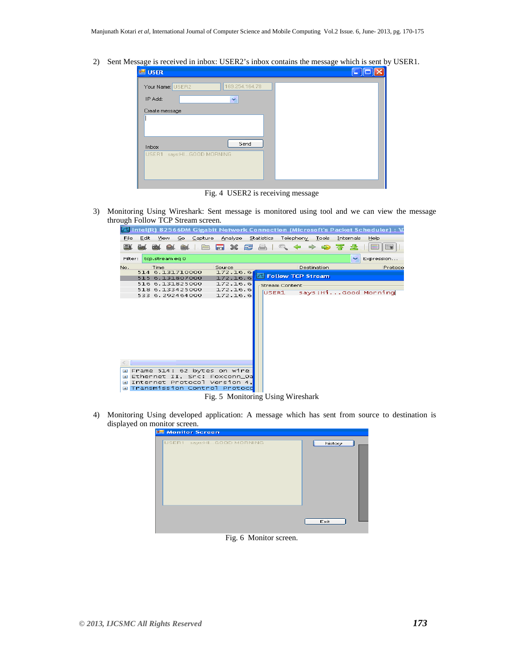2) Sent Message is received in inbox: USER2's inbox contains the message which is sent by USER1.

| <b>ER</b> USER                     |  |
|------------------------------------|--|
| Your Name: USER2<br>169.254.164.78 |  |
| IP Add:<br>v                       |  |
| Create message                     |  |
|                                    |  |
|                                    |  |
| Send<br>Inbox                      |  |
| USER1<br>says:HIGOOD MORNING       |  |
|                                    |  |
|                                    |  |

Fig. 4 USER2 is receiving message

3) Monitoring Using Wireshark: Sent message is monitored using tool and we can view the message through Follow TCP Stream screen.<br>The linteligy 82566DM Gigabit Network Connection (Microsoft's Packet Scheduler) : \



4) Monitoring Using developed application: A message which has sent from source to destination is displayed on monitor screen.

| <b>Monitor Screen</b>     |         |  |
|---------------------------|---------|--|
| USER1 says:HIGOOD MORNING | history |  |
|                           | Exit    |  |

## Fig. 6 Monitor screen.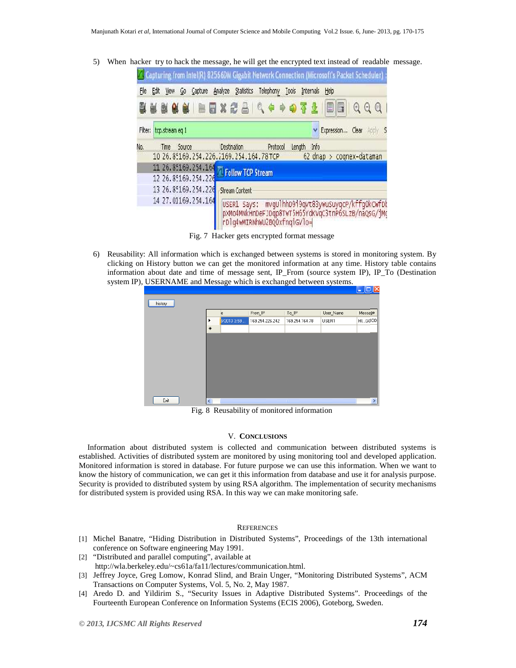5) When hacker try to hack the message, he will get the encrypted text instead of readable message.

|         |      |                                        |         |         |                                            |           |       |             |           |      |                  |              | 7. Capturing from Intel(R) 82566DM Gigabit Network Connection (Microsoft's Packet Scheduler) |
|---------|------|----------------------------------------|---------|---------|--------------------------------------------|-----------|-------|-------------|-----------|------|------------------|--------------|----------------------------------------------------------------------------------------------|
| File    | Edit | <b>View</b><br>Go                      | Capture | Analyze | Statistics                                 | Telephony | Tools |             | Internals | Help |                  |              |                                                                                              |
|         |      |                                        |         |         | ■■×き合 Q → → → マイ                           |           |       |             |           | §    | R                | $\mathbb{Q}$ | $^{\tiny{\textregistered}}$<br>$\Theta$                                                      |
| Filter: |      | tcp.streameg 1                         |         |         |                                            |           |       |             |           |      | Expression Clear |              | Apply                                                                                        |
| No.     | Time | Source                                 |         |         | <b>Destination</b>                         | Protocol  |       | Length Info |           |      |                  |              |                                                                                              |
|         |      | 10 26.85169.254.226.2169.254.164.78TCP |         |         |                                            |           |       |             |           |      |                  |              | 62 dnap > cognex-dataman                                                                     |
|         |      | 11 26.85169.254.164                    |         |         | Follow TCP Stream                          |           |       |             |           |      |                  |              |                                                                                              |
|         |      | 12 26.85169.254.226                    |         |         |                                            |           |       |             |           |      |                  |              |                                                                                              |
|         |      | 13 26.85169.254.226                    |         |         | <b>Stream Content</b>                      |           |       |             |           |      |                  |              |                                                                                              |
|         |      | 14 27.01169.254.164                    |         |         | USER1 Says:<br>rDlq4wMIRNhwU2BQ0xfnqiGVlo= |           |       |             |           |      |                  |              | mvgulhho9i9qvt83ywuSuyqcP/kffq0kCwfDk<br>pxMo4MNkHnDeFJDqp8TwT5H65YdKVqC3tnP6SLzB/naQsG/jMc  |

Fig. 7 Hacker gets encrypted format message

6) Reusability: All information which is exchanged between systems is stored in monitoring system. By clicking on History button we can get the monitored information at any time. History table contains information about date and time of message sent, IP\_From (source system IP), IP\_To (Destination system IP), USERNAME and Message which is exchanged between systems.

|         |     |             |                 |                        |           | $\blacksquare$ المال |
|---------|-----|-------------|-----------------|------------------------|-----------|----------------------|
| history |     |             |                 |                        |           |                      |
|         |     | e           | From_IP         | To_IP                  | User_Name | Message              |
|         | ▶   | 3/2013 3:59 | 169.254.226.242 | 169.254.164.78         | USER1     | HIG00D               |
|         | $*$ |             |                 |                        |           |                      |
|         |     |             |                 |                        |           |                      |
|         |     |             |                 |                        |           |                      |
|         |     |             |                 |                        |           |                      |
|         |     |             |                 |                        |           |                      |
|         |     |             |                 |                        |           |                      |
|         |     |             |                 |                        |           |                      |
|         |     |             |                 |                        |           |                      |
| Exit    |     |             |                 |                        |           |                      |
|         | ₹   |             |                 | $\mathop{\mathrm{HH}}$ |           | $\rightarrow$        |

Fig. 8 Reusability of monitored information

## V. **CONCLUSIONS**

Information about distributed system is collected and communication between distributed systems is established. Activities of distributed system are monitored by using monitoring tool and developed application. Monitored information is stored in database. For future purpose we can use this information. When we want to know the history of communication, we can get it this information from database and use it for analysis purpose. Security is provided to distributed system by using RSA algorithm. The implementation of security mechanisms for distributed system is provided using RSA. In this way we can make monitoring safe.

#### **REFERENCES**

- [1] Michel Banatre, "Hiding Distribution in Distributed Systems", Proceedings of the 13th international conference on Software engineering May 1991.
- [2] "Distributed and parallel computing", available at http://wla.berkeley.edu/~cs61a/fa11/lectures/communication.html.
- [3] Jeffrey Joyce, Greg Lomow, Konrad Slind, and Brain Unger, "Monitoring Distributed Systems", ACM Transactions on Computer Systems, Vol. 5, No. 2, May 1987.
- [4] Aredo D. and Yildirim S., "Security Issues in Adaptive Distributed Systems". Proceedings of the Fourteenth European Conference on Information Systems (ECIS 2006), Goteborg, Sweden.